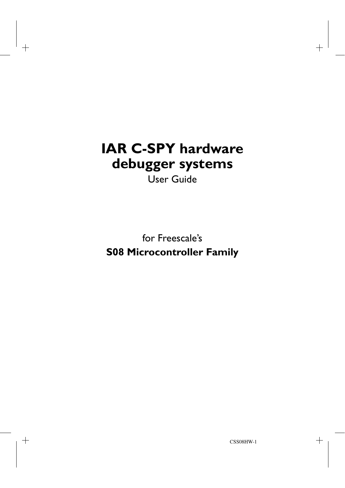# **IAR C-SPY hardware debugger systems**

User Guide

for Freescale's **S08 Microcontroller Family**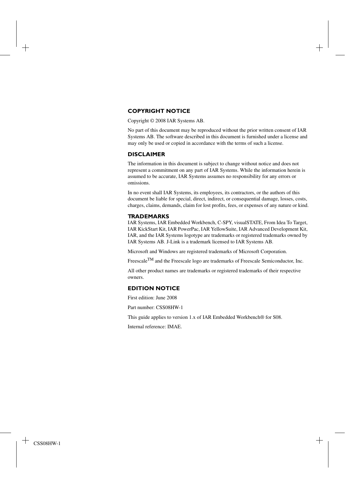### **COPYRIGHT NOTICE**

Copyright © 2008 IAR Systems AB.

No part of this document may be reproduced without the prior written consent of IAR Systems AB. The software described in this document is furnished under a license and may only be used or copied in accordance with the terms of such a license.

#### **DISCLAIMER**

The information in this document is subject to change without notice and does not represent a commitment on any part of IAR Systems. While the information herein is assumed to be accurate, IAR Systems assumes no responsibility for any errors or omissions.

In no event shall IAR Systems, its employees, its contractors, or the authors of this document be liable for special, direct, indirect, or consequential damage, losses, costs, charges, claims, demands, claim for lost profits, fees, or expenses of any nature or kind.

#### **TRADEMARKS**

IAR Systems, IAR Embedded Workbench, C-SPY, visualSTATE, From Idea To Target, IAR KickStart Kit, IAR PowerPac, IAR YellowSuite, IAR Advanced Development Kit, IAR, and the IAR Systems logotype are trademarks or registered trademarks owned by IAR Systems AB. J-Link is a trademark licensed to IAR Systems AB.

Microsoft and Windows are registered trademarks of Microsoft Corporation.

Freescale<sup>TM</sup> and the Freescale logo are trademarks of Freescale Semiconductor, Inc.

All other product names are trademarks or registered trademarks of their respective owners.

#### **EDITION NOTICE**

First edition: June 2008

Part number: CSS08HW-1

This guide applies to version 1.x of IAR Embedded Workbench® for S08.

Internal reference: IMAE.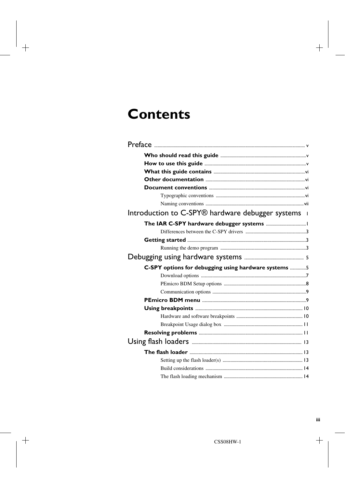# **Contents**

| Introduction to C-SPY® hardware debugger systems     |  |
|------------------------------------------------------|--|
|                                                      |  |
|                                                      |  |
|                                                      |  |
|                                                      |  |
|                                                      |  |
| C-SPY options for debugging using hardware systems 5 |  |
|                                                      |  |
|                                                      |  |
|                                                      |  |
|                                                      |  |
|                                                      |  |
|                                                      |  |
|                                                      |  |
|                                                      |  |
|                                                      |  |
|                                                      |  |
|                                                      |  |
|                                                      |  |
|                                                      |  |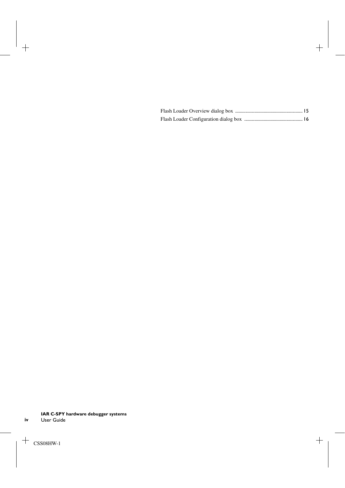**iv**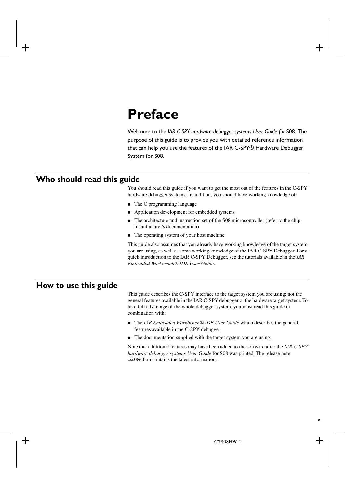# <span id="page-4-0"></span>**Preface**

Welcome to the *IAR C-SPY hardware debugger systems User Guide for* S08. The purpose of this guide is to provide you with detailed reference information that can help you use the features of the IAR C-SPY® Hardware Debugger System for S08.

## <span id="page-4-1"></span>**Who should read this guide**

You should read this guide if you want to get the most out of the features in the C-SPY hardware debugger systems. In addition, you should have working knowledge of:

- The C programming language
- Application development for embedded systems
- The architecture and instruction set of the S08 microcontroller (refer to the chip manufacturer's documentation)
- The operating system of your host machine.

This guide also assumes that you already have working knowledge of the target system you are using, as well as some working knowledge of the IAR C-SPY Debugger. For a quick introduction to the IAR C-SPY Debugger, see the tutorials available in the *IAR Embedded Workbench® IDE User Guide*.

## <span id="page-4-2"></span>**How to use this guide**

This guide describes the C-SPY interface to the target system you are using; not the general features available in the IAR C-SPY debugger or the hardware target system. To take full advantage of the whole debugger system, you must read this guide in combination with:

- The *IAR Embedded Workbench® IDE User Guide* which describes the general features available in the C-SPY debugger
- The documentation supplied with the target system you are using.

Note that additional features may have been added to the software after the *IAR C-SPY hardware debugger systems User Guide* for S08 was printed. The release note css08e.htm contains the latest information.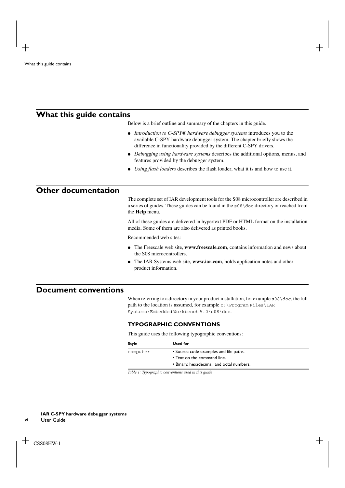## <span id="page-5-0"></span>**What this guide contains**

Below is a brief outline and summary of the chapters in this guide.

- *[Introduction to C-SPY® hardware debugger systems](#page-8-2)* introduces you to the available C-SPY hardware debugger system. The chapter briefly shows the difference in functionality provided by the different C-SPY drivers.
- *[Debugging using hardware systems](#page-12-2)* describes the additional options, menus, and features provided by the debugger system.
- *[Using flash loaders](#page-20-3)* describes the flash loader, what it is and how to use it.

## <span id="page-5-1"></span>**Other documentation**

The complete set of IAR development tools for the S08 microcontroller are described in a series of guides. These guides can be found in the s08\doc directory or reached from the **Help** menu.

All of these guides are delivered in hypertext PDF or HTML format on the installation media. Some of them are also delivered as printed books.

Recommended web sites:

- The Freescale web site, **www.freescale.com**, contains information and news about the S08 microcontrollers.
- The IAR Systems web site, **www.iar.com**, holds application notes and other product information.

# <span id="page-5-2"></span>**Document conventions**

When referring to a directory in your product installation, for example  $s08\ddot{\circ}$ , the full path to the location is assumed, for example  $c:\Per\gamma$  Frogram Files\IAR Systems\Embedded Workbench 5.0\s08\doc.

## <span id="page-5-3"></span>**TYPOGRAPHIC CONVENTIONS**

This guide uses the following typographic conventions:

| Style    | Used for                                  |  |
|----------|-------------------------------------------|--|
| computer | • Source code examples and file paths.    |  |
|          | • Text on the command line.               |  |
|          | • Binary, hexadecimal, and octal numbers. |  |

*Table 1: Typographic conventions used in this guide* 

**vi**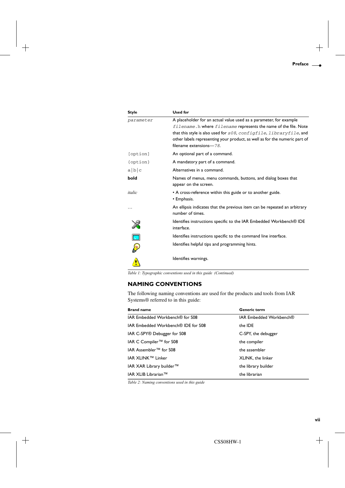| Style                   | <b>Used for</b>                                                                                                                                                                                                                                                                                                          |
|-------------------------|--------------------------------------------------------------------------------------------------------------------------------------------------------------------------------------------------------------------------------------------------------------------------------------------------------------------------|
| parameter               | A placeholder for an actual value used as a parameter, for example<br>filename. h where filename represents the name of the file. Note<br>that this style is also used for $s08$ , configfile, libraryfile, and<br>other labels representing your product, as well as for the numeric part of<br>filename extensions-78. |
| [option]                | An optional part of a command.                                                                                                                                                                                                                                                                                           |
| {option}                | A mandatory part of a command.                                                                                                                                                                                                                                                                                           |
| a b c                   | Alternatives in a command.                                                                                                                                                                                                                                                                                               |
| bold                    | Names of menus, menu commands, buttons, and dialog boxes that<br>appear on the screen.                                                                                                                                                                                                                                   |
| italic                  | • A cross-reference within this guide or to another guide.<br>• Emphasis.                                                                                                                                                                                                                                                |
|                         | An ellipsis indicates that the previous item can be repeated an arbitrary<br>number of times.                                                                                                                                                                                                                            |
|                         | Identifies instructions specific to the IAR Embedded Workbench® IDE<br>interface.                                                                                                                                                                                                                                        |
| $\overline{\mathbf{r}}$ | Identifies instructions specific to the command line interface.                                                                                                                                                                                                                                                          |
| <b>CANN</b>             | Identifies helpful tips and programming hints.                                                                                                                                                                                                                                                                           |
|                         | Identifies warnings.                                                                                                                                                                                                                                                                                                     |

*Table 1: Typographic conventions used in this guide (Continued)*

## <span id="page-6-0"></span>**NAMING CONVENTIONS**

The following naming conventions are used for the products and tools from IAR Systems® referred to in this guide:

| <b>Brand name</b>                          | <b>Generic term</b>     |
|--------------------------------------------|-------------------------|
| IAR Embedded Workbench® for S08            | IAR Embedded Workbench® |
| <b>JAR Embedded Workbench® IDE for S08</b> | the IDE                 |
| IAR C-SPY <sup>®</sup> Debugger for S08    | C-SPY, the debugger     |
| IAR C Compiler <sup>™</sup> for S08        | the compiler            |
| IAR Assembler <sup>™</sup> for S08         | the assembler           |
| IAR XLINK™ Linker                          | XLINK, the linker       |
| IAR XAR Library builder™                   | the library builder     |
| IAR XLIB Librarian™                        | the librarian           |

*Table 2: Naming conventions used in this guide*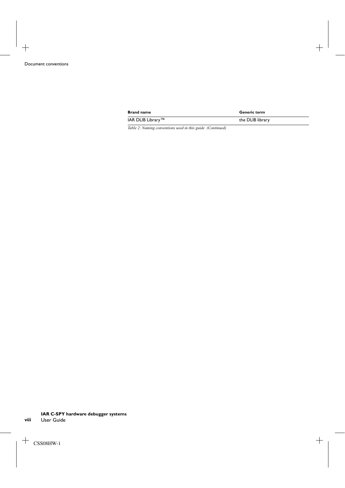| <b>Brand name</b> | <b>Generic term</b> |
|-------------------|---------------------|
| IAR DLIB Library™ | the DLIB library    |

*Table 2: Naming conventions used in this guide (Continued)*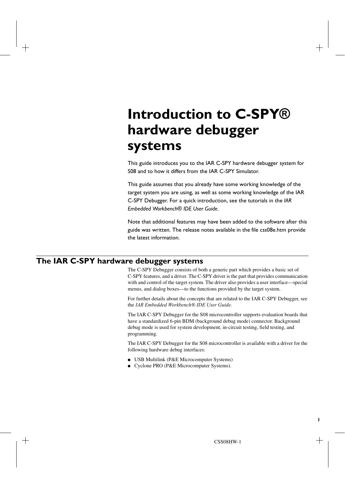# <span id="page-8-2"></span><span id="page-8-0"></span>**Introduction to C-SPY® hardware debugger systems**

This guide introduces you to the IAR C-SPY hardware debugger system for S08 and to how it differs from the IAR C-SPY Simulator.

This guide assumes that you already have some working knowledge of the target system you are using, as well as some working knowledge of the IAR C-SPY Debugger. For a quick introduction, see the tutorials in the *IAR Embedded Workbench® IDE User Guide*.

Note that additional features may have been added to the software after this guide was written. The release notes available in the file css08e.htm provide the latest information.

# <span id="page-8-1"></span>**The IAR C-SPY hardware debugger systems**

The C-SPY Debugger consists of both a generic part which provides a basic set of C-SPY features, and a driver. The C-SPY driver is the part that provides communication with and control of the target system. The driver also provides a user interface—special menus, and dialog boxes—to the functions provided by the target system.

For further details about the concepts that are related to the IAR C-SPY Debugger, see the *IAR Embedded Workbench® IDE User Guide*.

The IAR C-SPY Debugger for the S08 microcontroller supports evaluation boards that have a standardized 6-pin BDM (background debug mode) connector. Background debug mode is used for system development, in-circuit testing, field testing, and programming.

The IAR C-SPY Debugger for the S08 microcontroller is available with a driver for the following hardware debug interfaces:

- USB Multilink (P&E Microcomputer Systems)
- Cyclone PRO (P&E Microcomputer Systems).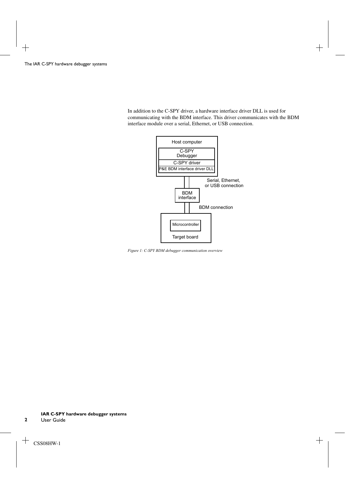In addition to the C-SPY driver, a hardware interface driver DLL is used for communicating with the BDM interface. This driver communicates with the BDM interface module over a serial, Ethernet, or USB connection.



*Figure 1: C-SPY BDM debugger communication overview*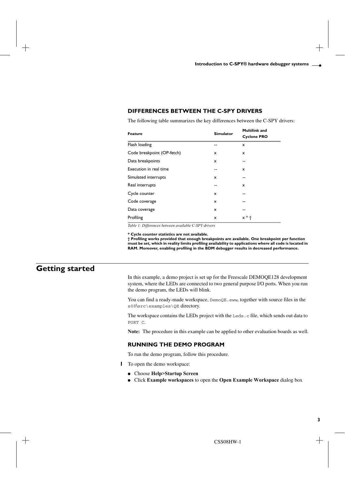## <span id="page-10-0"></span>**DIFFERENCES BETWEEN THE C-SPY DRIVERS**

The following table summarizes the key differences between the C-SPY drivers:

| Feature                    | <b>Simulator</b> | Multilink and             |
|----------------------------|------------------|---------------------------|
|                            |                  | <b>Cyclone PRO</b>        |
| Flash loading              | --               | x                         |
| Code breakpoint (OP-fetch) | x                | x                         |
| Data breakpoints           | x                | --                        |
| Execution in real time     | --               | $\boldsymbol{\mathsf{x}}$ |
| Simulated interrupts       | x                | --                        |
| Real interrupts            | --               | $\mathsf{x}$              |
| Cycle counter              | x                |                           |
| Code coverage              | x                | --                        |
| Data coverage              | x                | --                        |
| Profiling                  | x                | $x * f$                   |

*Table 1: Differences between available C-SPY drivers*

**\* Cycle counter statistics are not available.**

**† Profiling works provided that enough breakpoints are available. One breakpoint per function must be set, which in reality limits profiling availability to applications where all code is located in RAM. Moreover, enabling profiling in the BDM debugger results in decreased performance.**

## <span id="page-10-1"></span>**Getting started**

In this example, a demo project is set up for the Freescale DEMOQE128 development system, where the LEDs are connected to two general purpose I/O ports. When you run the demo program, the LEDs will blink.

You can find a ready-made workspace, DemoQE.eww, together with source files in the s08\src\examples\QE directory.

The workspace contains the LEDs project with the Leds.c file, which sends out data to PORT C.

**Note:** The procedure in this example can be applied to other evaluation boards as well.

#### <span id="page-10-2"></span>**RUNNING THE DEMO PROGRAM**

To run the demo program, follow this procedure.

- **1** To open the demo workspace:
	- Choose **Help>Startup Screen**
	- Click **Example workspaces** to open the **Open Example Workspace** dialog box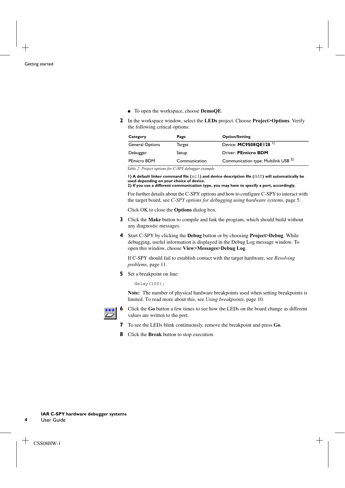- To open the workspace, choose **DemoQE**.
- **2** In the workspace window, select the **LEDs** project. Choose **Project>Options**. Verify the following critical options:

| Category               | Page          | <b>Option/Setting</b>                           |
|------------------------|---------------|-------------------------------------------------|
| <b>General Options</b> | Target        | Device: MC9S08QE128 <sup>1</sup>                |
| Debugger               | Setup         | Driver: PEmicro BDM                             |
| PEmicro BDM            | Communication | Communication type: Multilink USB <sup>2)</sup> |

*Table 2: Project options for C-SPY debugger example* 

**1) A default linker command file (**xcl**) and device description file (**ddf**) will automatically be used depending on your choice of device.**

**2) If you use a different communication type, you may have to specify a port, accordingly.**

For further details about the C-SPY options and how to configure C-SPY to interact with the target board, see *[C-SPY options for debugging using hardware systems](#page-12-3)*, page 5.

Click OK to close the **Options** dialog box.

- **3** Click the **Make** button to compile and link the program, which should build without any diagnostic messages.
- **4** Start C-SPY by clicking the **Debug** button or by choosing **Project>Debug**. While debugging, useful information is displayed in the Debug Log message window. To open this window, choose **View>Messages>Debug Log**.

If C-SPY should fail to establish contact with the target hardware, see *[Resolving](#page-18-2)  [problems](#page-18-2)*, page 11.

**5** Set a breakpoint on line:

delay(100);

**Note:** The number of physical hardware breakpoints used when setting breakpoints is limited. To read more about this, see *[Using breakpoints](#page-17-2)*, page 10.



- **6** Click the **Go** button a few times to see how the LEDs on the board change as different values are written to the port.
- **7** To see the LEDs blink continuously, remove the breakpoint and press **Go**.
- **8** Click the **Break** button to stop execution.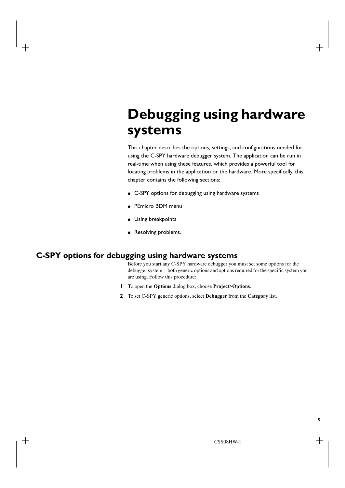# <span id="page-12-2"></span><span id="page-12-0"></span>**Debugging using hardware systems**

This chapter describes the options, settings, and configurations needed for using the C-SPY hardware debugger system. The application can be run in real-time when using these features, which provides a powerful tool for locating problems in the application or the hardware. More specifically, this chapter contains the following sections:

- [C-SPY options for debugging using hardware systems](#page-12-1)
- [PEmicro BDM menu](#page-16-1)
- [Using breakpoints](#page-17-0)
- [Resolving problems.](#page-18-1)

# <span id="page-12-3"></span><span id="page-12-1"></span>**C-SPY options for debugging using hardware systems**

Before you start any C-SPY hardware debugger you must set some options for the debugger system—both generic options and options required for the specific system you are using. Follow this procedure:

- **1** To open the **Options** dialog box, choose **Project>Options**.
- **2** To set C-SPY generic options, select **Debugger** from the **Category** list.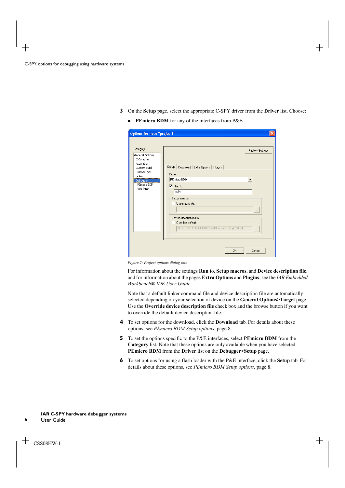- **3** On the **Setup** page, select the appropriate C-SPY driver from the **Driver** list. Choose:
	- **PEmicro BDM** for any of the interfaces from P&E.

| Options for node "project1"                                                                                                                       |                                                                                                                                                                                                                                                                                       |
|---------------------------------------------------------------------------------------------------------------------------------------------------|---------------------------------------------------------------------------------------------------------------------------------------------------------------------------------------------------------------------------------------------------------------------------------------|
| Category:<br>General Options<br>C Compiler<br>Assembler<br>Custom Build<br><b>Build Actions</b><br>Linker<br>Debugger<br>PEmicro BDM<br>Simulator | <b>Factory Settings</b><br>Setup<br>Download   Extra Options   Plugins  <br>Driver:<br>PEmicro BDM<br>$\overline{\vee}$ Run to:<br>main<br>Setup macros<br>Lise macro file:<br>Device description file<br>Override default:<br>\$TOOLKIT_DIR\$\CONFIG\DDF\iomc9s08qe128.ddf<br>$\sim$ |
|                                                                                                                                                   |                                                                                                                                                                                                                                                                                       |
|                                                                                                                                                   | <b>OK</b><br>Cancel                                                                                                                                                                                                                                                                   |

*Figure 2: Project options dialog box*

For information about the settings **Run to**, **Setup macros**, and **Device description file**, and for information about the pages **Extra Options** and **Plugins**, see the *IAR Embedded Workbench® IDE User Guide*.

Note that a default linker command file and device description file are automatically selected depending on your selection of device on the **General Options>Target** page. Use the **Override device description file** check box and the browse button if you want to override the default device description file.

- **4** To set options for the download, click the **Download** tab. For details about these options, see *[PEmicro BDM Setup options](#page-15-0)*, page 8.
- **5** To set the options specific to the P&E interfaces, select **PEmicro BDM** from the **Category** list. Note that these options are only available when you have selected **PEmicro BDM** from the **Driver** list on the **Debugger>Setup** page.
- **6** To set options for using a flash loader with the P&E interface, click the **Setup** tab. For details about these options, see *[PEmicro BDM Setup options](#page-15-0)*, page 8.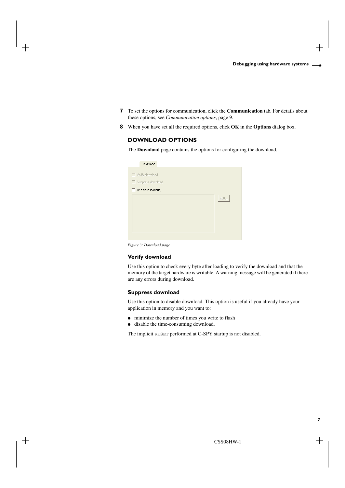- **7** To set the options for communication, click the **Communication** tab. For details about these options, see *[Communication options](#page-16-0)*, page 9.
- **8** When you have set all the required options, click **OK** in the **Options** dialog box.

## <span id="page-14-0"></span>**DOWNLOAD OPTIONS**

The **Download** page contains the options for configuring the download.

| Download                                                           |      |
|--------------------------------------------------------------------|------|
| Verify download<br>Suppress download<br>$\Box$ Use flash loader(s) |      |
|                                                                    | Edit |
|                                                                    |      |

*Figure 3: Download page*

#### **Verify download**

Use this option to check every byte after loading to verify the download and that the memory of the target hardware is writable. A warning message will be generated if there are any errors during download.

#### **Suppress download**

Use this option to disable download. This option is useful if you already have your application in memory and you want to:

- minimize the number of times you write to flash
- disable the time-consuming download.

The implicit RESET performed at C-SPY startup is not disabled.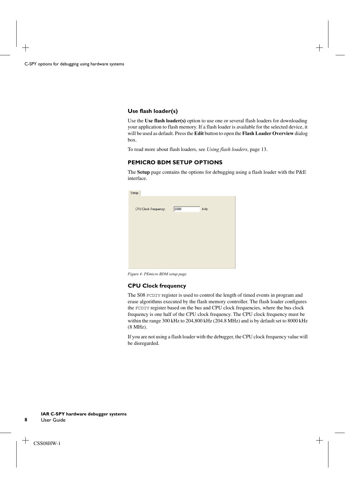## **Use flash loader(s)**

Use the **Use flash loader(s)** option to use one or several flash loaders for downloading your application to flash memory. If a flash loader is available for the selected device, it will be used as default. Press the **Edit** button to open the **Flash Loader Overview** dialog box.

To read more about flash loaders, see *[Using flash loaders](#page-20-3)*, page 13.

## <span id="page-15-0"></span>**PEMICRO BDM SETUP OPTIONS**

The **Setup** page contains the options for debugging using a flash loader with the P&E interface.

| Setup                |      |     |
|----------------------|------|-----|
|                      |      |     |
| CPU Clock Frequency: | 8000 | kHz |
|                      |      |     |
|                      |      |     |
|                      |      |     |
|                      |      |     |
|                      |      |     |
|                      |      |     |
|                      |      |     |
|                      |      |     |

*Figure 4: PEmicro BDM setup page*

#### **CPU Clock frequency**

The S08 FCDIV register is used to control the length of timed events in program and erase algorithms executed by the flash memory controller. The flash loader configures the FCDIV register based on the bus and CPU clock frequencies, where the bus clock frequency is one half of the CPU clock frequency. The CPU clock frequency must be within the range 300 kHz to 204,800 kHz (204.8 MHz) and is by default set to 8000 kHz (8 MHz).

If you are not using a flash loader with the debugger, the CPU clock frequency value will be disregarded.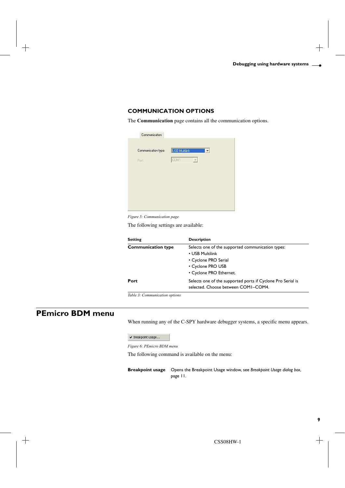## <span id="page-16-0"></span>**COMMUNICATION OPTIONS**

The **Communication** page contains all the communication options.

| Communication       |                                       |
|---------------------|---------------------------------------|
| Communication type: | USB Multilink<br>$\blacktriangledown$ |
| Port:               | COM1                                  |
|                     |                                       |
|                     |                                       |
|                     |                                       |
|                     |                                       |
|                     |                                       |
|                     |                                       |

*Figure 5: Communication page*

The following settings are available:

| <b>Setting</b>            | <b>Description</b>                                                                                                                           |
|---------------------------|----------------------------------------------------------------------------------------------------------------------------------------------|
| <b>Communication type</b> | Selects one of the supported communication types:<br>• USB Multilink<br>• Cyclone PRO Serial<br>• Cyclone PRO USB<br>• Cyclone PRO Ethernet. |
| Port                      | Selects one of the supported ports if Cyclone Pro Serial is<br>selected. Choose between COMI-COM4.                                           |

*Table 3: Communication options*

# <span id="page-16-1"></span>**PEmicro BDM menu**

When running any of the C-SPY hardware debugger systems, a specific menu appears.

 $\checkmark$  Breakpoint usage...

*Figure 6: PEmicro BDM menu*

The following command is available on the menu:

**Breakpoint usage** Opens the Breakpoint Usage window, see *[Breakpoint Usage dialog box](#page-18-0)*, [page 11.](#page-18-0)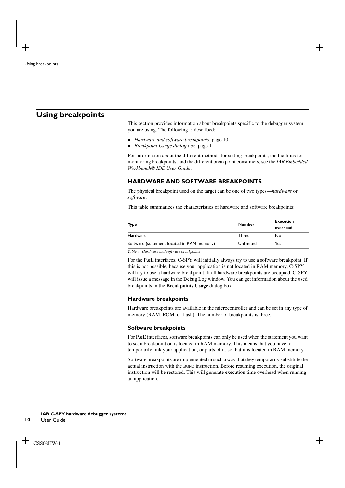# <span id="page-17-2"></span><span id="page-17-0"></span>**Using breakpoints**

This section provides information about breakpoints specific to the debugger system you are using. The following is described:

- *[Hardware and software breakpoints](#page-17-1)*, page 10
- *[Breakpoint Usage dialog box](#page-18-0)*, page 11.

For information about the different methods for setting breakpoints, the facilities for monitoring breakpoints, and the different breakpoint consumers, see the *IAR Embedded Workbench® IDE User Guide*.

#### <span id="page-17-1"></span>**HARDWARE AND SOFTWARE BREAKPOINTS**

The physical breakpoint used on the target can be one of two types—*hardware* or *software*.

This table summarizes the characteristics of hardware and software breakpoints:

| <b>Type</b>                                | <b>Number</b> | <b>Execution</b> |  |
|--------------------------------------------|---------------|------------------|--|
|                                            |               | overhead         |  |
| Hardware                                   | Three         | No               |  |
| Software (statement located in RAM memory) | Unlimited     | Yes              |  |
|                                            |               |                  |  |

*Table 4: Hardware and software breakpoints*

For the P&E interfaces, C-SPY will initially always try to use a software breakpoint. If this is not possible, because your application is not located in RAM memory, C-SPY will try to use a hardware breakpoint. If all hardware breakpoints are occupied, C-SPY will issue a message in the Debug Log window. You can get information about the used breakpoints in the **Breakpoints Usage** dialog box.

#### **Hardware breakpoints**

Hardware breakpoints are available in the microcontroller and can be set in any type of memory (RAM, ROM, or flash). The number of breakpoints is three.

#### **Software breakpoints**

For P&E interfaces, software breakpoints can only be used when the statement you want to set a breakpoint on is located in RAM memory. This means that you have to temporarily link your application, or parts of it, so that it is located in RAM memory.

Software breakpoints are implemented in such a way that they temporarily substitute the actual instruction with the BGND instruction. Before resuming execution, the original instruction will be restored. This will generate execution time overhead when running an application.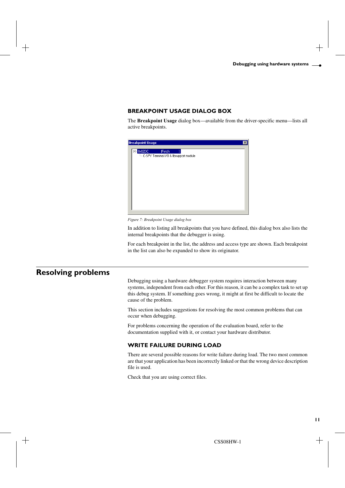### <span id="page-18-0"></span>**BREAKPOINT USAGE DIALOG BOX**

The **Breakpoint Usage** dialog box—available from the driver-specific menu—lists all active breakpoints.



*Figure 7: Breakpoint Usage dialog box*

In addition to listing all breakpoints that you have defined, this dialog box also lists the internal breakpoints that the debugger is using.

For each breakpoint in the list, the address and access type are shown. Each breakpoint in the list can also be expanded to show its originator.

# <span id="page-18-2"></span><span id="page-18-1"></span>**Resolving problems**

Debugging using a hardware debugger system requires interaction between many systems, independent from each other. For this reason, it can be a complex task to set up this debug system. If something goes wrong, it might at first be difficult to locate the cause of the problem.

This section includes suggestions for resolving the most common problems that can occur when debugging.

For problems concerning the operation of the evaluation board, refer to the documentation supplied with it, or contact your hardware distributor.

#### **WRITE FAILURE DURING LOAD**

There are several possible reasons for write failure during load. The two most common are that your application has been incorrectly linked or that the wrong device description file is used.

Check that you are using correct files.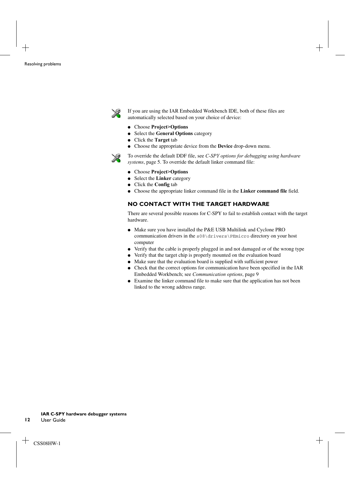

If you are using the IAR Embedded Workbench IDE, both of these files are automatically selected based on your choice of device:

- Choose **Project>Options**
- Select the **General Options** category
- Click the **Target** tab
- Choose the appropriate device from the **Device** drop-down menu.

To override the default DDF file, see *[C-SPY options for debugging using hardware](#page-12-1)  systems*[, page 5](#page-12-1). To override the default linker command file:

- Choose **Project>Options**
- Select the **Linker** category
- Click the **Config** tab
- Choose the appropriate linker command file in the **Linker command file** field.

### **NO CONTACT WITH THE TARGET HARDWARE**

There are several possible reasons for C-SPY to fail to establish contact with the target hardware.

- Make sure you have installed the P&E USB Multilink and Cyclone PRO communication drivers in the s08\drivers\PEmicro directory on your host computer
- Verify that the cable is properly plugged in and not damaged or of the wrong type
- Verify that the target chip is properly mounted on the evaluation board
- Make sure that the evaluation board is supplied with sufficient power
- Check that the correct options for communication have been specified in the IAR Embedded Workbench; see *[Communication options](#page-16-0)*, page 9
- Examine the linker command file to make sure that the application has not been linked to the wrong address range.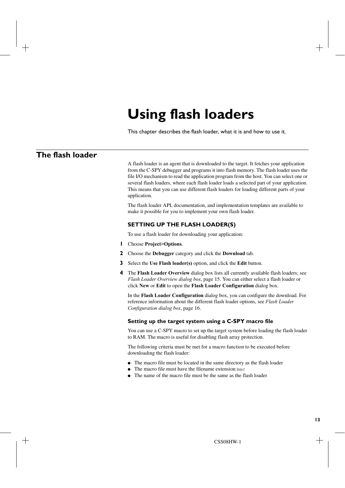# <span id="page-20-3"></span><span id="page-20-0"></span>**Using flash loaders**

This chapter describes the flash loader, what it is and how to use it.

# <span id="page-20-1"></span>**The flash loader**

A flash loader is an agent that is downloaded to the target. It fetches your application from the C-SPY debugger and programs it into flash memory. The flash loader uses the file I/O mechanism to read the application program from the host. You can select one or several flash loaders, where each flash loader loads a selected part of your application. This means that you can use different flash loaders for loading different parts of your application.

The flash loader API, documentation, and implementation templates are available to make it possible for you to implement your own flash loader.

#### <span id="page-20-2"></span>**SETTING UP THE FLASH LOADER(S)**

To use a flash loader for downloading your application:

- **1** Choose **Project>Options**.
- **2** Choose the **Debugger** category and click the **Download** tab.
- **3** Select the **Use Flash loader(s)** option, and click the **Edit** button.
- **4** The **Flash Loader Overview** dialog box lists all currently available flash loaders; see *[Flash Loader Overview dialog box](#page-22-0)*, page 15. You can either select a flash loader or click **New** or **Edit** to open the **Flash Loader Configuration** dialog box.

In the **Flash Loader Configuration** dialog box, you can configure the download. For reference information about the different flash loader options, see *[Flash Loader](#page-23-0)  [Configuration dialog box](#page-23-0)*, page 16.

#### **Setting up the target system using a C-SPY macro file**

You can use a C-SPY macro to set up the target system before loading the flash loader to RAM. The macro is useful for disabling flash array protection.

The following criteria must be met for a macro function to be executed before downloading the flash loader:

- The macro file must be located in the same directory as the flash loader
- The macro file must have the filename extension mac
- The name of the macro file must be the same as the flash loader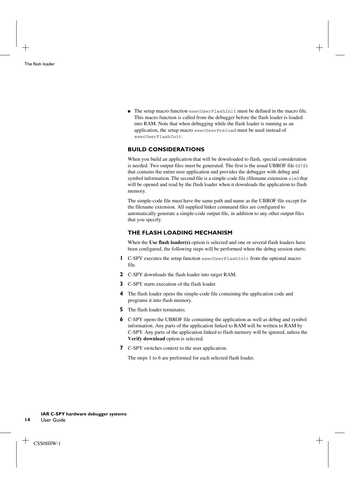$\bullet$  The setup macro function execUserFlashInit must be defined in the macro file. This macro function is called from the debugger before the flash loader is loaded into RAM. Note that when debugging while the flash loader is running as an application, the setup macro execUserPreload must be used instead of execUserFlashInit.

#### <span id="page-21-0"></span>**BUILD CONSIDERATIONS**

When you build an application that will be downloaded to flash, special consideration is needed. Two output files must be generated. The first is the usual UBROF file (d78) that contains the entire user application and provides the debugger with debug and symbol information. The second file is a simple-code file (filename extension sim) that will be opened and read by the flash loader when it downloads the application to flash memory.

The simple-code file must have the same path and name as the UBROF file except for the filename extension. All supplied linker command files are configured to automatically generate a simple-code output file, in addition to any other output files that you specify.

#### <span id="page-21-1"></span>**THE FLASH LOADING MECHANISM**

When the **Use flash loader(s)** option is selected and one or several flash loaders have been configured, the following steps will be performed when the debug session starts:

- **1** C-SPY executes the setup function execUserFlashInit from the optional macro file.
- **2** C-SPY downloads the flash loader into target RAM.
- **3** C-SPY starts execution of the flash loader.
- **4** The flash loader opens the simple-code file containing the application code and programs it into flash memory.
- **5** The flash loader terminates.
- **6** C-SPY opens the UBROF file containing the application as well as debug and symbol information. Any parts of the application linked to RAM will be written to RAM by C-SPY. Any parts of the application linked to flash memory will be ignored, unless the **Verify download** option is selected.
- **7** C-SPY switches context to the user application.

The steps 1 to 6 are performed for each selected flash loader.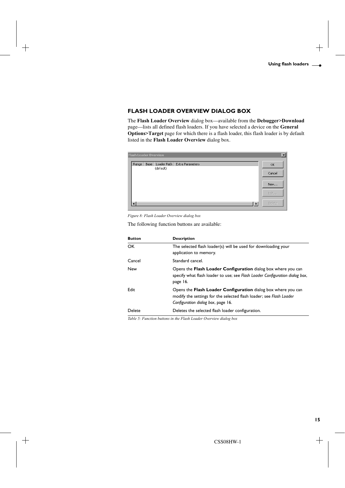## <span id="page-22-0"></span>**FLASH LOADER OVERVIEW DIALOG BOX**

The **Flash Loader Overview** dialog box—available from the **Debugger>Download** page—lists all defined flash loaders. If you have selected a device on the **General Options>Target** page for which there is a flash loader, this flash loader is by default listed in the **Flash Loader Overview** dialog box.

|       | <b>Flash Loader Overview</b> |                                |    | $\vert x \vert$ |
|-------|------------------------------|--------------------------------|----|-----------------|
| Range | Base<br>(default)            | Loader Path   Extra Parameters |    | OK              |
|       |                              |                                |    | Cancel          |
|       |                              |                                |    | New             |
|       |                              |                                |    | Edit            |
|       |                              |                                | Ч. | <b>Delete</b>   |

*Figure 8: Flash Loader Overview dialog box*

The following function buttons are available:

| <b>Button</b> | <b>Description</b>                                                                                                                                                         |
|---------------|----------------------------------------------------------------------------------------------------------------------------------------------------------------------------|
| OK.           | The selected flash loader(s) will be used for downloading your<br>application to memory.                                                                                   |
| Cancel        | Standard cancel.                                                                                                                                                           |
| New           | Opens the <b>Flash Loader Configuration</b> dialog box where you can<br>specify what flash loader to use; see Flash Loader Configuration dialog box,<br>page 16.           |
| Edit          | Opens the Flash Loader Configuration dialog box where you can<br>modify the settings for the selected flash loader; see Flash Loader<br>Configuration dialog box, page 16. |
| Delete        | Deletes the selected flash loader configuration.                                                                                                                           |

*Table 5: Function buttons in the Flash Loader Overview dialog box*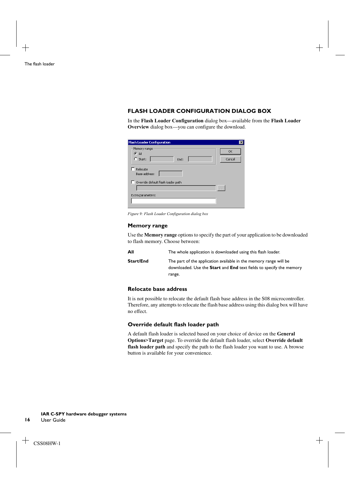## <span id="page-23-0"></span>**FLASH LOADER CONFIGURATION DIALOG BOX**

In the **Flash Loader Configuration** dialog box—available from the **Flash Loader Overview** dialog box—you can configure the download.

| <b>Flash Loader Configuration</b>             |              |
|-----------------------------------------------|--------------|
| Memory range<br>$G$ All<br>$C$ Start:<br>End: | OK<br>Cancel |
| Relocate<br>Base address:                     |              |
| Override default flash loader path            |              |
|                                               |              |
| Extra parameters:                             |              |
|                                               |              |

*Figure 9: Flash Loader Configuration dialog box*

#### **Memory range**

Use the **Memory range** options to specify the part of your application to be downloaded to flash memory. Choose between:

| All       | The whole application is downloaded using this flash loader.                                                                                                     |
|-----------|------------------------------------------------------------------------------------------------------------------------------------------------------------------|
| Start/End | The part of the application available in the memory range will be<br>downloaded. Use the <b>Start</b> and <b>End</b> text fields to specify the memory<br>range. |

## **Relocate base address**

It is not possible to relocate the default flash base address in the S08 microcontroller. Therefore, any attempts to relocate the flash base address using this dialog box will have no effect.

#### **Override default flash loader path**

A default flash loader is selected based on your choice of device on the **General Options>Target** page. To override the default flash loader, select **Override default flash loader path** and specify the path to the flash loader you want to use. A browse button is available for your convenience.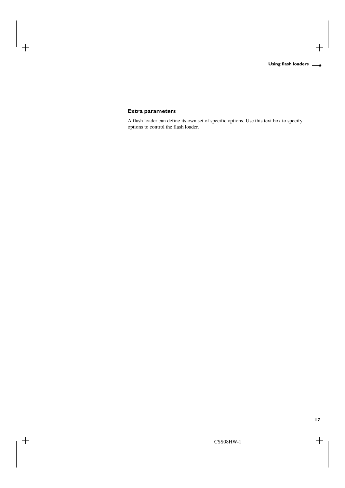## **Extra parameters**

A flash loader can define its own set of specific options. Use this text box to specify options to control the flash loader.